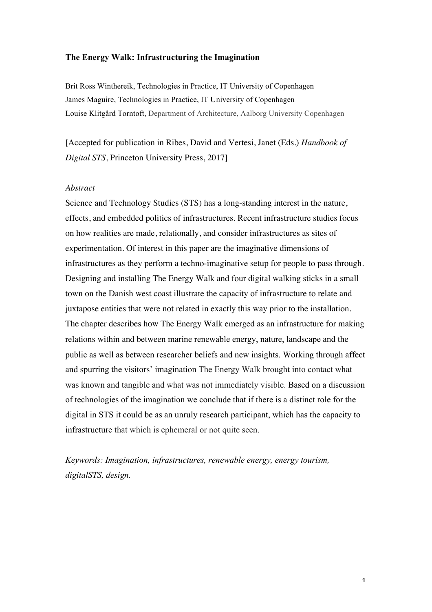#### **The Energy Walk: Infrastructuring the Imagination**

Brit Ross Winthereik, Technologies in Practice, IT University of Copenhagen James Maguire, Technologies in Practice, IT University of Copenhagen Louise Klitgård Torntoft, Department of Architecture, Aalborg University Copenhagen

[Accepted for publication in Ribes, David and Vertesi, Janet (Eds.) *Handbook of Digital STS*, Princeton University Press, 2017]

### *Abstract*

Science and Technology Studies (STS) has a long-standing interest in the nature, effects, and embedded politics of infrastructures. Recent infrastructure studies focus on how realities are made, relationally, and consider infrastructures as sites of experimentation. Of interest in this paper are the imaginative dimensions of infrastructures as they perform a techno-imaginative setup for people to pass through. Designing and installing The Energy Walk and four digital walking sticks in a small town on the Danish west coast illustrate the capacity of infrastructure to relate and juxtapose entities that were not related in exactly this way prior to the installation. The chapter describes how The Energy Walk emerged as an infrastructure for making relations within and between marine renewable energy, nature, landscape and the public as well as between researcher beliefs and new insights. Working through affect and spurring the visitors' imagination The Energy Walk brought into contact what was known and tangible and what was not immediately visible. Based on a discussion of technologies of the imagination we conclude that if there is a distinct role for the digital in STS it could be as an unruly research participant, which has the capacity to infrastructure that which is ephemeral or not quite seen.

*Keywords: Imagination, infrastructures, renewable energy, energy tourism, digitalSTS, design.*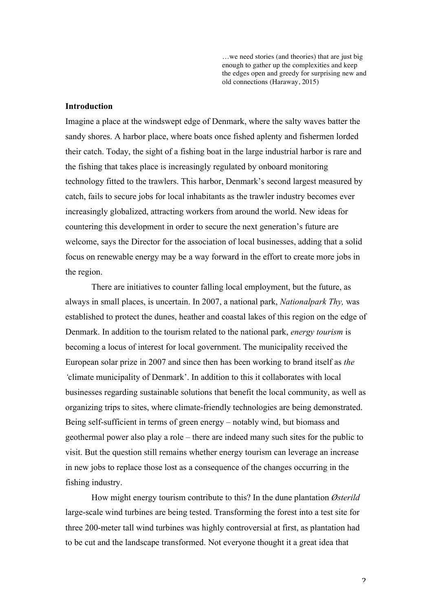…we need stories (and theories) that are just big enough to gather up the complexities and keep the edges open and greedy for surprising new and old connections (Haraway, 2015)

### **Introduction**

Imagine a place at the windswept edge of Denmark, where the salty waves batter the sandy shores. A harbor place, where boats once fished aplenty and fishermen lorded their catch. Today, the sight of a fishing boat in the large industrial harbor is rare and the fishing that takes place is increasingly regulated by onboard monitoring technology fitted to the trawlers. This harbor, Denmark's second largest measured by catch, fails to secure jobs for local inhabitants as the trawler industry becomes ever increasingly globalized, attracting workers from around the world. New ideas for countering this development in order to secure the next generation's future are welcome, says the Director for the association of local businesses, adding that a solid focus on renewable energy may be a way forward in the effort to create more jobs in the region.

There are initiatives to counter falling local employment, but the future, as always in small places, is uncertain. In 2007, a national park, *Nationalpark Thy,* was established to protect the dunes, heather and coastal lakes of this region on the edge of Denmark. In addition to the tourism related to the national park, *energy tourism* is becoming a locus of interest for local government. The municipality received the European solar prize in 2007 and since then has been working to brand itself as *the '*climate municipality of Denmark'. In addition to this it collaborates with local businesses regarding sustainable solutions that benefit the local community, as well as organizing trips to sites, where climate-friendly technologies are being demonstrated. Being self-sufficient in terms of green energy – notably wind, but biomass and geothermal power also play a role – there are indeed many such sites for the public to visit. But the question still remains whether energy tourism can leverage an increase in new jobs to replace those lost as a consequence of the changes occurring in the fishing industry.

How might energy tourism contribute to this? In the dune plantation *Østerild* large-scale wind turbines are being tested. Transforming the forest into a test site for three 200-meter tall wind turbines was highly controversial at first, as plantation had to be cut and the landscape transformed. Not everyone thought it a great idea that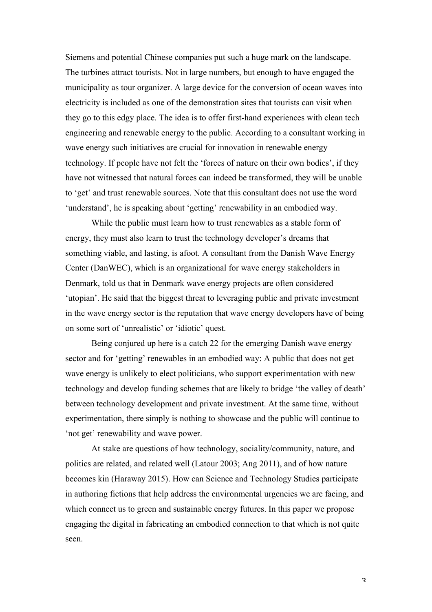Siemens and potential Chinese companies put such a huge mark on the landscape. The turbines attract tourists. Not in large numbers, but enough to have engaged the municipality as tour organizer. A large device for the conversion of ocean waves into electricity is included as one of the demonstration sites that tourists can visit when they go to this edgy place. The idea is to offer first-hand experiences with clean tech engineering and renewable energy to the public. According to a consultant working in wave energy such initiatives are crucial for innovation in renewable energy technology. If people have not felt the 'forces of nature on their own bodies', if they have not witnessed that natural forces can indeed be transformed, they will be unable to 'get' and trust renewable sources. Note that this consultant does not use the word 'understand', he is speaking about 'getting' renewability in an embodied way.

While the public must learn how to trust renewables as a stable form of energy, they must also learn to trust the technology developer's dreams that something viable, and lasting, is afoot. A consultant from the Danish Wave Energy Center (DanWEC), which is an organizational for wave energy stakeholders in Denmark, told us that in Denmark wave energy projects are often considered 'utopian'. He said that the biggest threat to leveraging public and private investment in the wave energy sector is the reputation that wave energy developers have of being on some sort of 'unrealistic' or 'idiotic' quest.

Being conjured up here is a catch 22 for the emerging Danish wave energy sector and for 'getting' renewables in an embodied way: A public that does not get wave energy is unlikely to elect politicians, who support experimentation with new technology and develop funding schemes that are likely to bridge 'the valley of death' between technology development and private investment. At the same time, without experimentation, there simply is nothing to showcase and the public will continue to 'not get' renewability and wave power.

At stake are questions of how technology, sociality/community, nature, and politics are related, and related well (Latour 2003; Ang 2011), and of how nature becomes kin (Haraway 2015). How can Science and Technology Studies participate in authoring fictions that help address the environmental urgencies we are facing, and which connect us to green and sustainable energy futures. In this paper we propose engaging the digital in fabricating an embodied connection to that which is not quite seen.

 $\overline{\mathbf{c}}$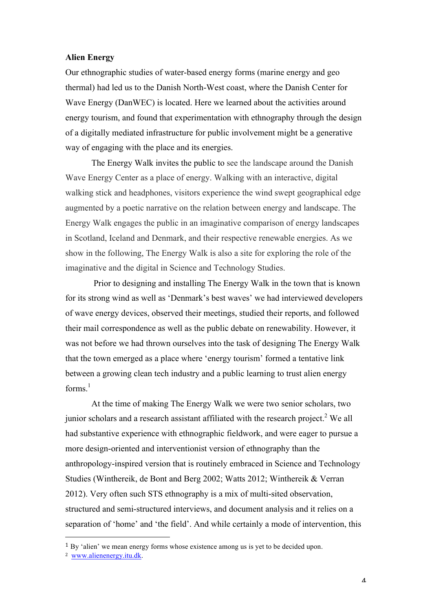## **Alien Energy**

Our ethnographic studies of water-based energy forms (marine energy and geo thermal) had led us to the Danish North-West coast, where the Danish Center for Wave Energy (DanWEC) is located. Here we learned about the activities around energy tourism, and found that experimentation with ethnography through the design of a digitally mediated infrastructure for public involvement might be a generative way of engaging with the place and its energies.

The Energy Walk invites the public to see the landscape around the Danish Wave Energy Center as a place of energy. Walking with an interactive, digital walking stick and headphones, visitors experience the wind swept geographical edge augmented by a poetic narrative on the relation between energy and landscape. The Energy Walk engages the public in an imaginative comparison of energy landscapes in Scotland, Iceland and Denmark, and their respective renewable energies. As we show in the following, The Energy Walk is also a site for exploring the role of the imaginative and the digital in Science and Technology Studies.

Prior to designing and installing The Energy Walk in the town that is known for its strong wind as well as 'Denmark's best waves' we had interviewed developers of wave energy devices, observed their meetings, studied their reports, and followed their mail correspondence as well as the public debate on renewability. However, it was not before we had thrown ourselves into the task of designing The Energy Walk that the town emerged as a place where 'energy tourism' formed a tentative link between a growing clean tech industry and a public learning to trust alien energy forms.<sup>1</sup>

At the time of making The Energy Walk we were two senior scholars, two junior scholars and a research assistant affiliated with the research project.<sup>2</sup> We all had substantive experience with ethnographic fieldwork, and were eager to pursue a more design-oriented and interventionist version of ethnography than the anthropology-inspired version that is routinely embraced in Science and Technology Studies (Winthereik, de Bont and Berg 2002; Watts 2012; Winthereik & Verran 2012). Very often such STS ethnography is a mix of multi-sited observation, structured and semi-structured interviews, and document analysis and it relies on a separation of 'home' and 'the field'. And while certainly a mode of intervention, this

<sup>1</sup> By 'alien' we mean energy forms whose existence among us is yet to be decided upon.

<sup>2</sup> www.alienenergy.itu.dk.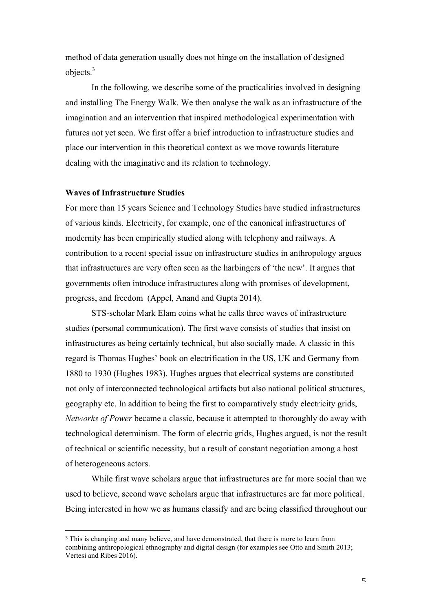method of data generation usually does not hinge on the installation of designed objects. 3

In the following, we describe some of the practicalities involved in designing and installing The Energy Walk. We then analyse the walk as an infrastructure of the imagination and an intervention that inspired methodological experimentation with futures not yet seen. We first offer a brief introduction to infrastructure studies and place our intervention in this theoretical context as we move towards literature dealing with the imaginative and its relation to technology.

### **Waves of Infrastructure Studies**

 

For more than 15 years Science and Technology Studies have studied infrastructures of various kinds. Electricity, for example, one of the canonical infrastructures of modernity has been empirically studied along with telephony and railways. A contribution to a recent special issue on infrastructure studies in anthropology argues that infrastructures are very often seen as the harbingers of 'the new'. It argues that governments often introduce infrastructures along with promises of development, progress, and freedom (Appel, Anand and Gupta 2014).

STS-scholar Mark Elam coins what he calls three waves of infrastructure studies (personal communication). The first wave consists of studies that insist on infrastructures as being certainly technical, but also socially made. A classic in this regard is Thomas Hughes' book on electrification in the US, UK and Germany from 1880 to 1930 (Hughes 1983). Hughes argues that electrical systems are constituted not only of interconnected technological artifacts but also national political structures, geography etc. In addition to being the first to comparatively study electricity grids, *Networks of Power* became a classic, because it attempted to thoroughly do away with technological determinism. The form of electric grids, Hughes argued, is not the result of technical or scientific necessity, but a result of constant negotiation among a host of heterogeneous actors.

While first wave scholars argue that infrastructures are far more social than we used to believe, second wave scholars argue that infrastructures are far more political. Being interested in how we as humans classify and are being classified throughout our

<sup>3</sup> This is changing and many believe, and have demonstrated, that there is more to learn from combining anthropological ethnography and digital design (for examples see Otto and Smith 2013; Vertesi and Ribes 2016).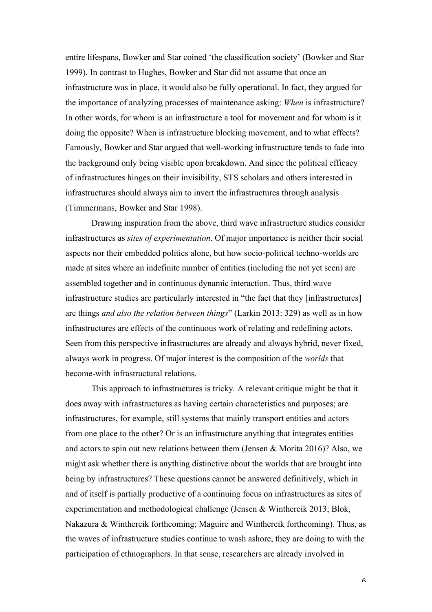entire lifespans, Bowker and Star coined 'the classification society' (Bowker and Star 1999). In contrast to Hughes, Bowker and Star did not assume that once an infrastructure was in place, it would also be fully operational. In fact, they argued for the importance of analyzing processes of maintenance asking: *When* is infrastructure? In other words, for whom is an infrastructure a tool for movement and for whom is it doing the opposite? When is infrastructure blocking movement, and to what effects? Famously, Bowker and Star argued that well-working infrastructure tends to fade into the background only being visible upon breakdown. And since the political efficacy of infrastructures hinges on their invisibility, STS scholars and others interested in infrastructures should always aim to invert the infrastructures through analysis (Timmermans, Bowker and Star 1998).

Drawing inspiration from the above, third wave infrastructure studies consider infrastructures as *sites of experimentation*. Of major importance is neither their social aspects nor their embedded politics alone, but how socio-political techno-worlds are made at sites where an indefinite number of entities (including the not yet seen) are assembled together and in continuous dynamic interaction. Thus, third wave infrastructure studies are particularly interested in "the fact that they [infrastructures] are things *and also the relation between things*" (Larkin 2013: 329) as well as in how infrastructures are effects of the continuous work of relating and redefining actors. Seen from this perspective infrastructures are already and always hybrid, never fixed, always work in progress. Of major interest is the composition of the *worlds* that become-with infrastructural relations.

This approach to infrastructures is tricky. A relevant critique might be that it does away with infrastructures as having certain characteristics and purposes; are infrastructures, for example, still systems that mainly transport entities and actors from one place to the other? Or is an infrastructure anything that integrates entities and actors to spin out new relations between them (Jensen & Morita 2016)? Also, we might ask whether there is anything distinctive about the worlds that are brought into being by infrastructures? These questions cannot be answered definitively, which in and of itself is partially productive of a continuing focus on infrastructures as sites of experimentation and methodological challenge (Jensen & Winthereik 2013; Blok, Nakazura & Winthereik forthcoming; Maguire and Winthereik forthcoming). Thus, as the waves of infrastructure studies continue to wash ashore, they are doing to with the participation of ethnographers. In that sense, researchers are already involved in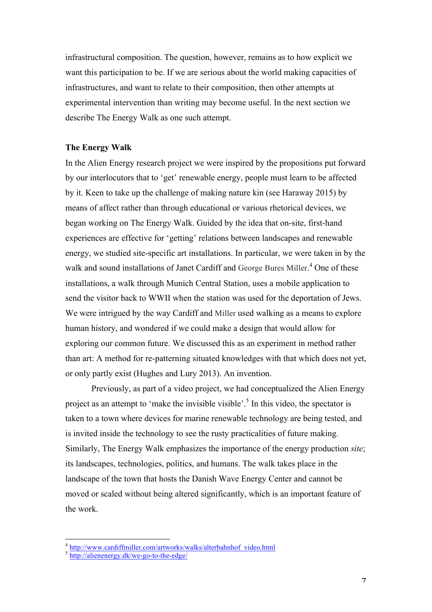infrastructural composition. The question, however, remains as to how explicit we want this participation to be. If we are serious about the world making capacities of infrastructures, and want to relate to their composition, then other attempts at experimental intervention than writing may become useful. In the next section we describe The Energy Walk as one such attempt.

# **The Energy Walk**

In the Alien Energy research project we were inspired by the propositions put forward by our interlocutors that to 'get' renewable energy, people must learn to be affected by it. Keen to take up the challenge of making nature kin (see Haraway 2015) by means of affect rather than through educational or various rhetorical devices, we began working on The Energy Walk. Guided by the idea that on-site, first-hand experiences are effective for 'getting' relations between landscapes and renewable energy, we studied site-specific art installations. In particular, we were taken in by the walk and sound installations of Janet Cardiff and George Bures Miller.<sup>4</sup> One of these installations, a walk through Munich Central Station, uses a mobile application to send the visitor back to WWII when the station was used for the deportation of Jews. We were intrigued by the way Cardiff and Miller used walking as a means to explore human history, and wondered if we could make a design that would allow for exploring our common future. We discussed this as an experiment in method rather than art: A method for re-patterning situated knowledges with that which does not yet, or only partly exist (Hughes and Lury 2013). An invention.

Previously, as part of a video project, we had conceptualized the Alien Energy project as an attempt to 'make the invisible visible'.<sup>5</sup> In this video, the spectator is taken to a town where devices for marine renewable technology are being tested, and is invited inside the technology to see the rusty practicalities of future making. Similarly, The Energy Walk emphasizes the importance of the energy production *site*; its landscapes, technologies, politics, and humans. The walk takes place in the landscape of the town that hosts the Danish Wave Energy Center and cannot be moved or scaled without being altered significantly, which is an important feature of the work.

<sup>&</sup>lt;sup>4</sup> http://www.cardiffmiller.com/artworks/walks/alterbahnhof\_video.html

<sup>&</sup>lt;sup>5</sup> http://alienenergy.dk/we-go-to-the-edge/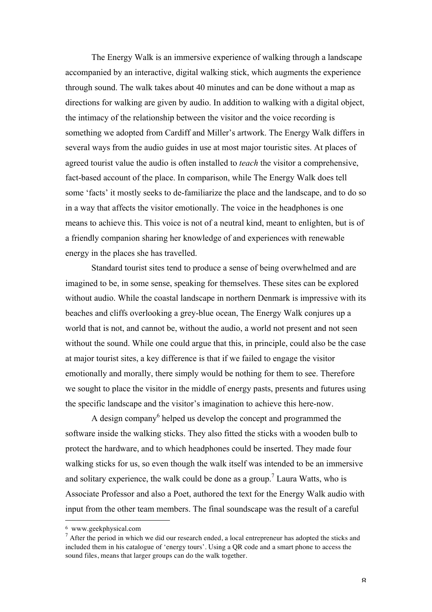The Energy Walk is an immersive experience of walking through a landscape accompanied by an interactive, digital walking stick, which augments the experience through sound. The walk takes about 40 minutes and can be done without a map as directions for walking are given by audio. In addition to walking with a digital object, the intimacy of the relationship between the visitor and the voice recording is something we adopted from Cardiff and Miller's artwork. The Energy Walk differs in several ways from the audio guides in use at most major touristic sites. At places of agreed tourist value the audio is often installed to *teach* the visitor a comprehensive, fact-based account of the place. In comparison, while The Energy Walk does tell some 'facts' it mostly seeks to de-familiarize the place and the landscape, and to do so in a way that affects the visitor emotionally. The voice in the headphones is one means to achieve this. This voice is not of a neutral kind, meant to enlighten, but is of a friendly companion sharing her knowledge of and experiences with renewable energy in the places she has travelled.

Standard tourist sites tend to produce a sense of being overwhelmed and are imagined to be, in some sense, speaking for themselves. These sites can be explored without audio. While the coastal landscape in northern Denmark is impressive with its beaches and cliffs overlooking a grey-blue ocean, The Energy Walk conjures up a world that is not, and cannot be, without the audio, a world not present and not seen without the sound. While one could argue that this, in principle, could also be the case at major tourist sites, a key difference is that if we failed to engage the visitor emotionally and morally, there simply would be nothing for them to see. Therefore we sought to place the visitor in the middle of energy pasts, presents and futures using the specific landscape and the visitor's imagination to achieve this here-now.

A design company<sup>6</sup> helped us develop the concept and programmed the software inside the walking sticks. They also fitted the sticks with a wooden bulb to protect the hardware, and to which headphones could be inserted. They made four walking sticks for us, so even though the walk itself was intended to be an immersive and solitary experience, the walk could be done as a group.<sup>7</sup> Laura Watts, who is Associate Professor and also a Poet, authored the text for the Energy Walk audio with input from the other team members. The final soundscape was the result of a careful

<sup>6</sup> www.geekphysical.com

 $<sup>7</sup>$  After the period in which we did our research ended, a local entrepreneur has adopted the sticks and</sup> included them in his catalogue of 'energy tours'. Using a QR code and a smart phone to access the sound files, means that larger groups can do the walk together.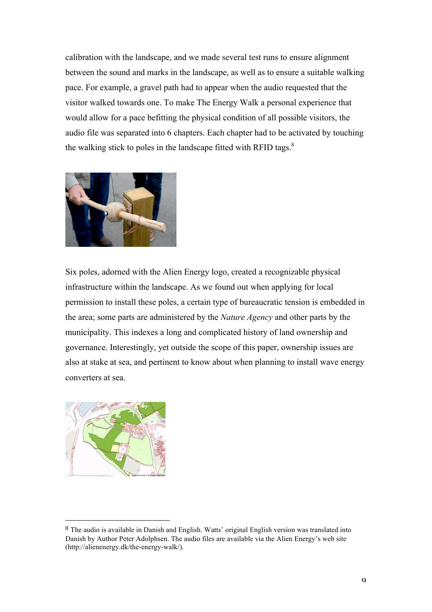calibration with the landscape, and we made several test runs to ensure alignment between the sound and marks in the landscape, as well as to ensure a suitable walking pace. For example, a gravel path had to appear when the audio requested that the visitor walked towards one. To make The Energy Walk a personal experience that would allow for a pace befitting the physical condition of all possible visitors, the audio file was separated into 6 chapters. Each chapter had to be activated by touching the walking stick to poles in the landscape fitted with RFID tags. $8$ 



Six poles, adorned with the Alien Energy logo, created a recognizable physical infrastructure within the landscape. As we found out when applying for local permission to install these poles, a certain type of bureaucratic tension is embedded in the area; some parts are administered by the *Nature Agency* and other parts by the municipality. This indexes a long and complicated history of land ownership and governance. Interestingly, yet outside the scope of this paper, ownership issues are also at stake at sea, and pertinent to know about when planning to install wave energy converters at sea.



<sup>8</sup> The audio is available in Danish and English. Watts' original English version was translated into Danish by Author Peter Adolphsen. The audio files are available via the Alien Energy's web site (http://alienenergy.dk/the-energy-walk/).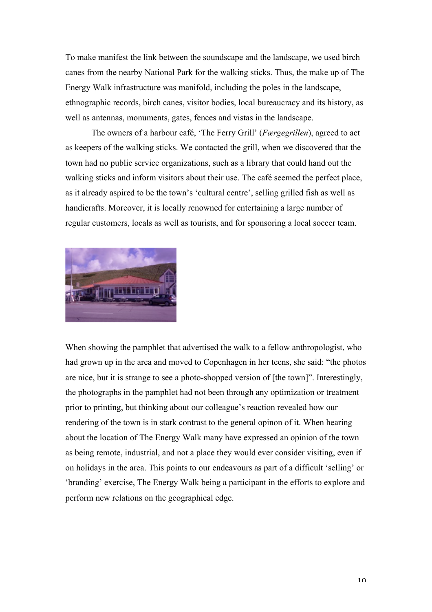To make manifest the link between the soundscape and the landscape, we used birch canes from the nearby National Park for the walking sticks. Thus, the make up of The Energy Walk infrastructure was manifold, including the poles in the landscape, ethnographic records, birch canes, visitor bodies, local bureaucracy and its history, as well as antennas, monuments, gates, fences and vistas in the landscape.

The owners of a harbour café, 'The Ferry Grill' (*Færgegrillen*), agreed to act as keepers of the walking sticks. We contacted the grill, when we discovered that the town had no public service organizations, such as a library that could hand out the walking sticks and inform visitors about their use. The café seemed the perfect place, as it already aspired to be the town's 'cultural centre', selling grilled fish as well as handicrafts. Moreover, it is locally renowned for entertaining a large number of regular customers, locals as well as tourists, and for sponsoring a local soccer team.



When showing the pamphlet that advertised the walk to a fellow anthropologist, who had grown up in the area and moved to Copenhagen in her teens, she said: "the photos are nice, but it is strange to see a photo-shopped version of [the town]". Interestingly, the photographs in the pamphlet had not been through any optimization or treatment prior to printing, but thinking about our colleague's reaction revealed how our rendering of the town is in stark contrast to the general opinon of it. When hearing about the location of The Energy Walk many have expressed an opinion of the town as being remote, industrial, and not a place they would ever consider visiting, even if on holidays in the area. This points to our endeavours as part of a difficult 'selling' or 'branding' exercise, The Energy Walk being a participant in the efforts to explore and perform new relations on the geographical edge.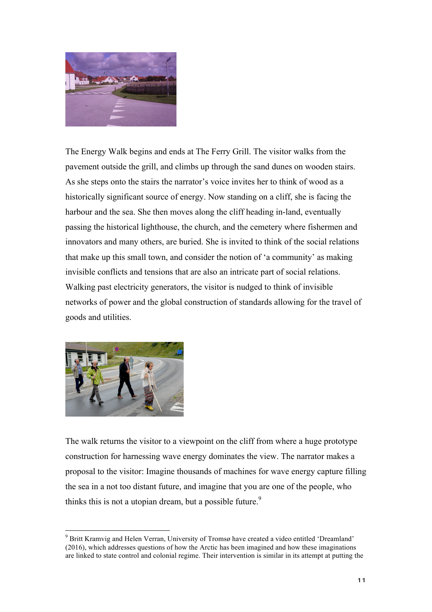

The Energy Walk begins and ends at The Ferry Grill. The visitor walks from the pavement outside the grill, and climbs up through the sand dunes on wooden stairs. As she steps onto the stairs the narrator's voice invites her to think of wood as a historically significant source of energy. Now standing on a cliff, she is facing the harbour and the sea. She then moves along the cliff heading in-land, eventually passing the historical lighthouse, the church, and the cemetery where fishermen and innovators and many others, are buried. She is invited to think of the social relations that make up this small town, and consider the notion of 'a community' as making invisible conflicts and tensions that are also an intricate part of social relations. Walking past electricity generators, the visitor is nudged to think of invisible networks of power and the global construction of standards allowing for the travel of goods and utilities.



The walk returns the visitor to a viewpoint on the cliff from where a huge prototype construction for harnessing wave energy dominates the view. The narrator makes a proposal to the visitor: Imagine thousands of machines for wave energy capture filling the sea in a not too distant future, and imagine that you are one of the people, who thinks this is not a utopian dream, but a possible future.<sup>9</sup>

 <sup>9</sup> Britt Kramvig and Helen Verran, University of Tromsø have created a video entitled 'Dreamland' (2016), which addresses questions of how the Arctic has been imagined and how these imaginations are linked to state control and colonial regime. Their intervention is similar in its attempt at putting the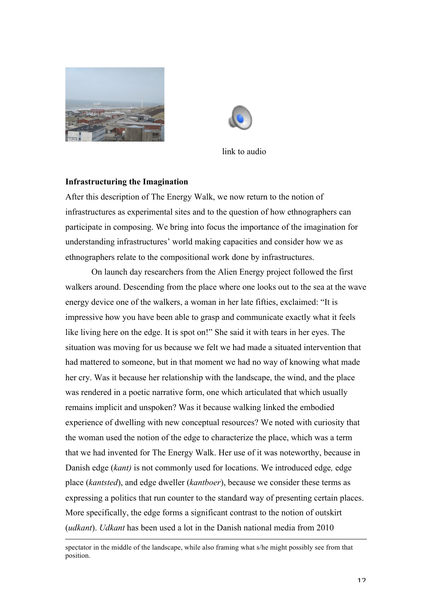



link to audio

### **Infrastructuring the Imagination**

After this description of The Energy Walk, we now return to the notion of infrastructures as experimental sites and to the question of how ethnographers can participate in composing. We bring into focus the importance of the imagination for understanding infrastructures' world making capacities and consider how we as ethnographers relate to the compositional work done by infrastructures.

On launch day researchers from the Alien Energy project followed the first walkers around. Descending from the place where one looks out to the sea at the wave energy device one of the walkers, a woman in her late fifties, exclaimed: "It is impressive how you have been able to grasp and communicate exactly what it feels like living here on the edge. It is spot on!" She said it with tears in her eyes. The situation was moving for us because we felt we had made a situated intervention that had mattered to someone, but in that moment we had no way of knowing what made her cry. Was it because her relationship with the landscape, the wind, and the place was rendered in a poetic narrative form, one which articulated that which usually remains implicit and unspoken? Was it because walking linked the embodied experience of dwelling with new conceptual resources? We noted with curiosity that the woman used the notion of the edge to characterize the place, which was a term that we had invented for The Energy Walk. Her use of it was noteworthy, because in Danish edge (*kant)* is not commonly used for locations. We introduced edge*,* edge place (*kantsted*), and edge dweller (*kantboer*), because we consider these terms as expressing a politics that run counter to the standard way of presenting certain places. More specifically, the edge forms a significant contrast to the notion of outskirt (*udkant*). *Udkant* has been used a lot in the Danish national media from 2010

<u> 1989 - Andrea Santa Alemania, poeta esperanto-se especial de la propia de la propia de la propia de la propia</u>

spectator in the middle of the landscape, while also framing what s/he might possibly see from that position.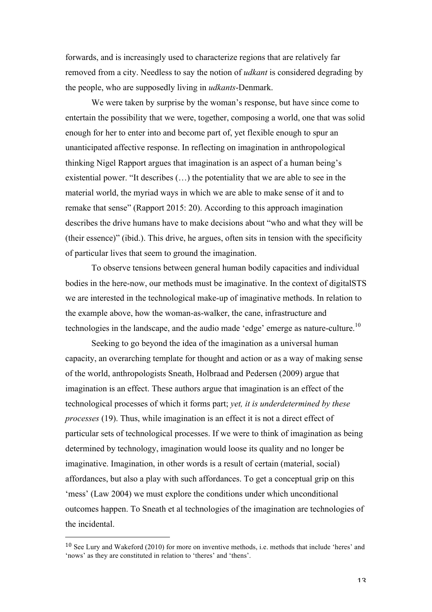forwards, and is increasingly used to characterize regions that are relatively far removed from a city. Needless to say the notion of *udkant* is considered degrading by the people, who are supposedly living in *udkants*-Denmark.

We were taken by surprise by the woman's response, but have since come to entertain the possibility that we were, together, composing a world, one that was solid enough for her to enter into and become part of, yet flexible enough to spur an unanticipated affective response. In reflecting on imagination in anthropological thinking Nigel Rapport argues that imagination is an aspect of a human being's existential power. "It describes (…) the potentiality that we are able to see in the material world, the myriad ways in which we are able to make sense of it and to remake that sense" (Rapport 2015: 20). According to this approach imagination describes the drive humans have to make decisions about "who and what they will be (their essence)" (ibid.). This drive, he argues, often sits in tension with the specificity of particular lives that seem to ground the imagination.

To observe tensions between general human bodily capacities and individual bodies in the here-now, our methods must be imaginative. In the context of digitalSTS we are interested in the technological make-up of imaginative methods. In relation to the example above, how the woman-as-walker, the cane, infrastructure and technologies in the landscape, and the audio made 'edge' emerge as nature-culture.<sup>10</sup>

Seeking to go beyond the idea of the imagination as a universal human capacity, an overarching template for thought and action or as a way of making sense of the world, anthropologists Sneath, Holbraad and Pedersen (2009) argue that imagination is an effect. These authors argue that imagination is an effect of the technological processes of which it forms part; *yet, it is underdetermined by these processes* (19). Thus, while imagination is an effect it is not a direct effect of particular sets of technological processes. If we were to think of imagination as being determined by technology, imagination would loose its quality and no longer be imaginative. Imagination, in other words is a result of certain (material, social) affordances, but also a play with such affordances. To get a conceptual grip on this 'mess' (Law 2004) we must explore the conditions under which unconditional outcomes happen. To Sneath et al technologies of the imagination are technologies of the incidental.

<sup>10</sup> See Lury and Wakeford (2010) for more on inventive methods, i.e. methods that include 'heres' and 'nows' as they are constituted in relation to 'theres' and 'thens'.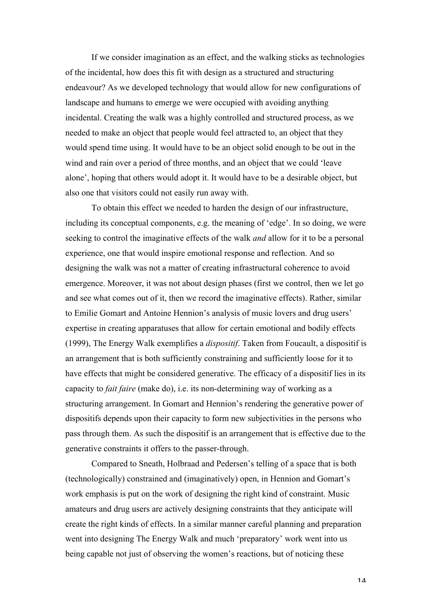If we consider imagination as an effect, and the walking sticks as technologies of the incidental, how does this fit with design as a structured and structuring endeavour? As we developed technology that would allow for new configurations of landscape and humans to emerge we were occupied with avoiding anything incidental. Creating the walk was a highly controlled and structured process, as we needed to make an object that people would feel attracted to, an object that they would spend time using. It would have to be an object solid enough to be out in the wind and rain over a period of three months, and an object that we could 'leave alone', hoping that others would adopt it. It would have to be a desirable object, but also one that visitors could not easily run away with.

To obtain this effect we needed to harden the design of our infrastructure, including its conceptual components, e.g. the meaning of 'edge'. In so doing, we were seeking to control the imaginative effects of the walk *and* allow for it to be a personal experience, one that would inspire emotional response and reflection. And so designing the walk was not a matter of creating infrastructural coherence to avoid emergence. Moreover, it was not about design phases (first we control, then we let go and see what comes out of it, then we record the imaginative effects). Rather, similar to Emilie Gomart and Antoine Hennion's analysis of music lovers and drug users' expertise in creating apparatuses that allow for certain emotional and bodily effects (1999), The Energy Walk exemplifies a *dispositif*. Taken from Foucault, a dispositif is an arrangement that is both sufficiently constraining and sufficiently loose for it to have effects that might be considered generative. The efficacy of a dispositif lies in its capacity to *fait faire* (make do), i.e. its non-determining way of working as a structuring arrangement. In Gomart and Hennion's rendering the generative power of dispositifs depends upon their capacity to form new subjectivities in the persons who pass through them. As such the dispositif is an arrangement that is effective due to the generative constraints it offers to the passer-through.

Compared to Sneath, Holbraad and Pedersen's telling of a space that is both (technologically) constrained and (imaginatively) open, in Hennion and Gomart's work emphasis is put on the work of designing the right kind of constraint. Music amateurs and drug users are actively designing constraints that they anticipate will create the right kinds of effects. In a similar manner careful planning and preparation went into designing The Energy Walk and much 'preparatory' work went into us being capable not just of observing the women's reactions, but of noticing these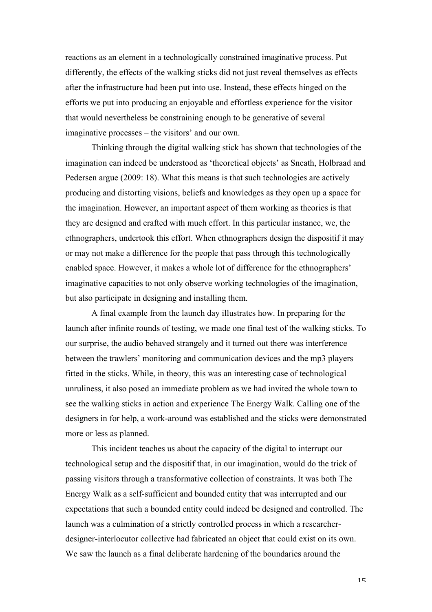reactions as an element in a technologically constrained imaginative process. Put differently, the effects of the walking sticks did not just reveal themselves as effects after the infrastructure had been put into use. Instead, these effects hinged on the efforts we put into producing an enjoyable and effortless experience for the visitor that would nevertheless be constraining enough to be generative of several imaginative processes – the visitors' and our own.

Thinking through the digital walking stick has shown that technologies of the imagination can indeed be understood as 'theoretical objects' as Sneath, Holbraad and Pedersen argue (2009: 18). What this means is that such technologies are actively producing and distorting visions, beliefs and knowledges as they open up a space for the imagination. However, an important aspect of them working as theories is that they are designed and crafted with much effort. In this particular instance, we, the ethnographers, undertook this effort. When ethnographers design the dispositif it may or may not make a difference for the people that pass through this technologically enabled space. However, it makes a whole lot of difference for the ethnographers' imaginative capacities to not only observe working technologies of the imagination, but also participate in designing and installing them.

A final example from the launch day illustrates how. In preparing for the launch after infinite rounds of testing, we made one final test of the walking sticks. To our surprise, the audio behaved strangely and it turned out there was interference between the trawlers' monitoring and communication devices and the mp3 players fitted in the sticks. While, in theory, this was an interesting case of technological unruliness, it also posed an immediate problem as we had invited the whole town to see the walking sticks in action and experience The Energy Walk. Calling one of the designers in for help, a work-around was established and the sticks were demonstrated more or less as planned.

This incident teaches us about the capacity of the digital to interrupt our technological setup and the dispositif that, in our imagination, would do the trick of passing visitors through a transformative collection of constraints. It was both The Energy Walk as a self-sufficient and bounded entity that was interrupted and our expectations that such a bounded entity could indeed be designed and controlled. The launch was a culmination of a strictly controlled process in which a researcherdesigner-interlocutor collective had fabricated an object that could exist on its own. We saw the launch as a final deliberate hardening of the boundaries around the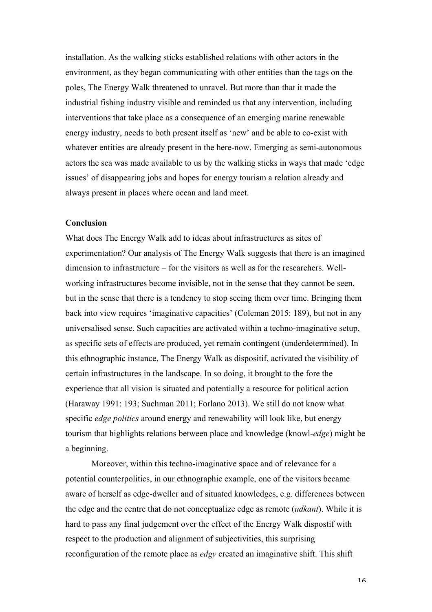installation. As the walking sticks established relations with other actors in the environment, as they began communicating with other entities than the tags on the poles, The Energy Walk threatened to unravel. But more than that it made the industrial fishing industry visible and reminded us that any intervention, including interventions that take place as a consequence of an emerging marine renewable energy industry, needs to both present itself as 'new' and be able to co-exist with whatever entities are already present in the here-now. Emerging as semi-autonomous actors the sea was made available to us by the walking sticks in ways that made 'edge issues' of disappearing jobs and hopes for energy tourism a relation already and always present in places where ocean and land meet.

## **Conclusion**

What does The Energy Walk add to ideas about infrastructures as sites of experimentation? Our analysis of The Energy Walk suggests that there is an imagined dimension to infrastructure – for the visitors as well as for the researchers. Wellworking infrastructures become invisible, not in the sense that they cannot be seen, but in the sense that there is a tendency to stop seeing them over time. Bringing them back into view requires 'imaginative capacities' (Coleman 2015: 189), but not in any universalised sense. Such capacities are activated within a techno-imaginative setup, as specific sets of effects are produced, yet remain contingent (underdetermined). In this ethnographic instance, The Energy Walk as dispositif, activated the visibility of certain infrastructures in the landscape. In so doing, it brought to the fore the experience that all vision is situated and potentially a resource for political action (Haraway 1991: 193; Suchman 2011; Forlano 2013). We still do not know what specific *edge politics* around energy and renewability will look like, but energy tourism that highlights relations between place and knowledge (knowl-*edge*) might be a beginning.

Moreover, within this techno-imaginative space and of relevance for a potential counterpolitics, in our ethnographic example, one of the visitors became aware of herself as edge-dweller and of situated knowledges, e.g. differences between the edge and the centre that do not conceptualize edge as remote (*udkant*). While it is hard to pass any final judgement over the effect of the Energy Walk dispostif with respect to the production and alignment of subjectivities, this surprising reconfiguration of the remote place as *edgy* created an imaginative shift. This shift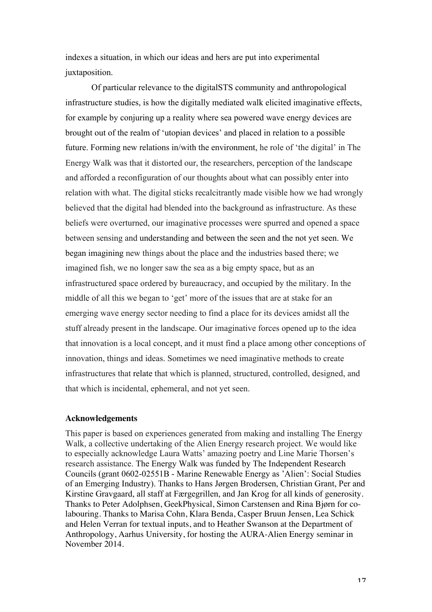indexes a situation, in which our ideas and hers are put into experimental juxtaposition.

Of particular relevance to the digitalSTS community and anthropological infrastructure studies, is how the digitally mediated walk elicited imaginative effects, for example by conjuring up a reality where sea powered wave energy devices are brought out of the realm of 'utopian devices' and placed in relation to a possible future. Forming new relations in/with the environment, he role of 'the digital' in The Energy Walk was that it distorted our, the researchers, perception of the landscape and afforded a reconfiguration of our thoughts about what can possibly enter into relation with what. The digital sticks recalcitrantly made visible how we had wrongly believed that the digital had blended into the background as infrastructure. As these beliefs were overturned, our imaginative processes were spurred and opened a space between sensing and understanding and between the seen and the not yet seen. We began imagining new things about the place and the industries based there; we imagined fish, we no longer saw the sea as a big empty space, but as an infrastructured space ordered by bureaucracy, and occupied by the military. In the middle of all this we began to 'get' more of the issues that are at stake for an emerging wave energy sector needing to find a place for its devices amidst all the stuff already present in the landscape. Our imaginative forces opened up to the idea that innovation is a local concept, and it must find a place among other conceptions of innovation, things and ideas. Sometimes we need imaginative methods to create infrastructures that relate that which is planned, structured, controlled, designed, and that which is incidental, ephemeral, and not yet seen.

## **Acknowledgements**

This paper is based on experiences generated from making and installing The Energy Walk, a collective undertaking of the Alien Energy research project. We would like to especially acknowledge Laura Watts' amazing poetry and Line Marie Thorsen's research assistance. The Energy Walk was funded by The Independent Research Councils (grant 0602-02551B - Marine Renewable Energy as 'Alien': Social Studies of an Emerging Industry). Thanks to Hans Jørgen Brodersen, Christian Grant, Per and Kirstine Gravgaard, all staff at Færgegrillen, and Jan Krog for all kinds of generosity. Thanks to Peter Adolphsen, GeekPhysical, Simon Carstensen and Rina Bjørn for colabouring. Thanks to Marisa Cohn, Klara Benda, Casper Bruun Jensen, Lea Schick and Helen Verran for textual inputs, and to Heather Swanson at the Department of Anthropology, Aarhus University, for hosting the AURA-Alien Energy seminar in November 2014.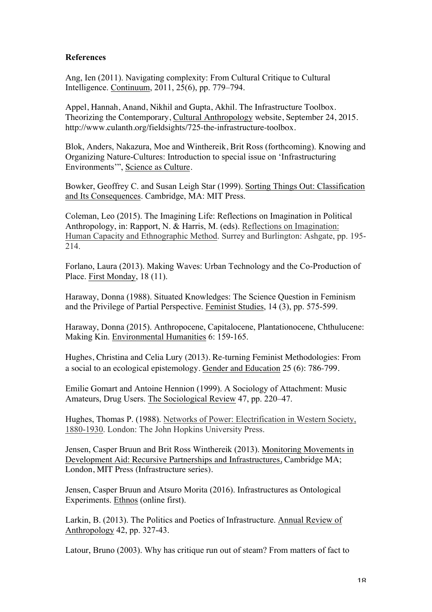# **References**

Ang, Ien (2011). Navigating complexity: From Cultural Critique to Cultural Intelligence. Continuum, 2011, 25(6), pp. 779–794.

Appel, Hannah, Anand, Nikhil and Gupta, Akhil. The Infrastructure Toolbox. Theorizing the Contemporary, Cultural Anthropology website, September 24, 2015. http://www.culanth.org/fieldsights/725-the-infrastructure-toolbox.

Blok, Anders, Nakazura, Moe and Winthereik, Brit Ross (forthcoming). Knowing and Organizing Nature-Cultures: Introduction to special issue on 'Infrastructuring Environments'", Science as Culture*.*

Bowker, Geoffrey C. and Susan Leigh Star (1999). Sorting Things Out: Classification and Its Consequences. Cambridge, MA: MIT Press.

Coleman, Leo (2015). The Imagining Life: Reflections on Imagination in Political Anthropology, in: Rapport, N. & Harris, M. (eds). Reflections on Imagination: Human Capacity and Ethnographic Method. Surrey and Burlington: Ashgate, pp. 195- 214.

Forlano, Laura (2013). Making Waves: Urban Technology and the Co-Production of Place. First Monday, 18 (11).

Haraway, Donna (1988). Situated Knowledges: The Science Question in Feminism and the Privilege of Partial Perspective. Feminist Studies, 14 (3), pp. 575-599.

Haraway, Donna (2015). Anthropocene, Capitalocene, Plantationocene, Chthulucene: Making Kin. Environmental Humanities 6: 159-165.

Hughes, Christina and Celia Lury (2013). Re-turning Feminist Methodologies: From a social to an ecological epistemology. Gender and Education 25 (6): 786-799.

Emilie Gomart and Antoine Hennion (1999). A Sociology of Attachment: Music Amateurs, Drug Users. The Sociological Review 47, pp. 220–47.

Hughes, Thomas P. (1988). Networks of Power: Electrification in Western Society, 1880-1930. London: The John Hopkins University Press.

Jensen, Casper Bruun and Brit Ross Winthereik (2013). Monitoring Movements in Development Aid: Recursive Partnerships and Infrastructures, Cambridge MA; London, MIT Press (Infrastructure series).

Jensen, Casper Bruun and Atsuro Morita (2016). Infrastructures as Ontological Experiments. Ethnos (online first).

Larkin, B. (2013). The Politics and Poetics of Infrastructure. Annual Review of Anthropology 42, pp. 327-43.

Latour, Bruno (2003). Why has critique run out of steam? From matters of fact to